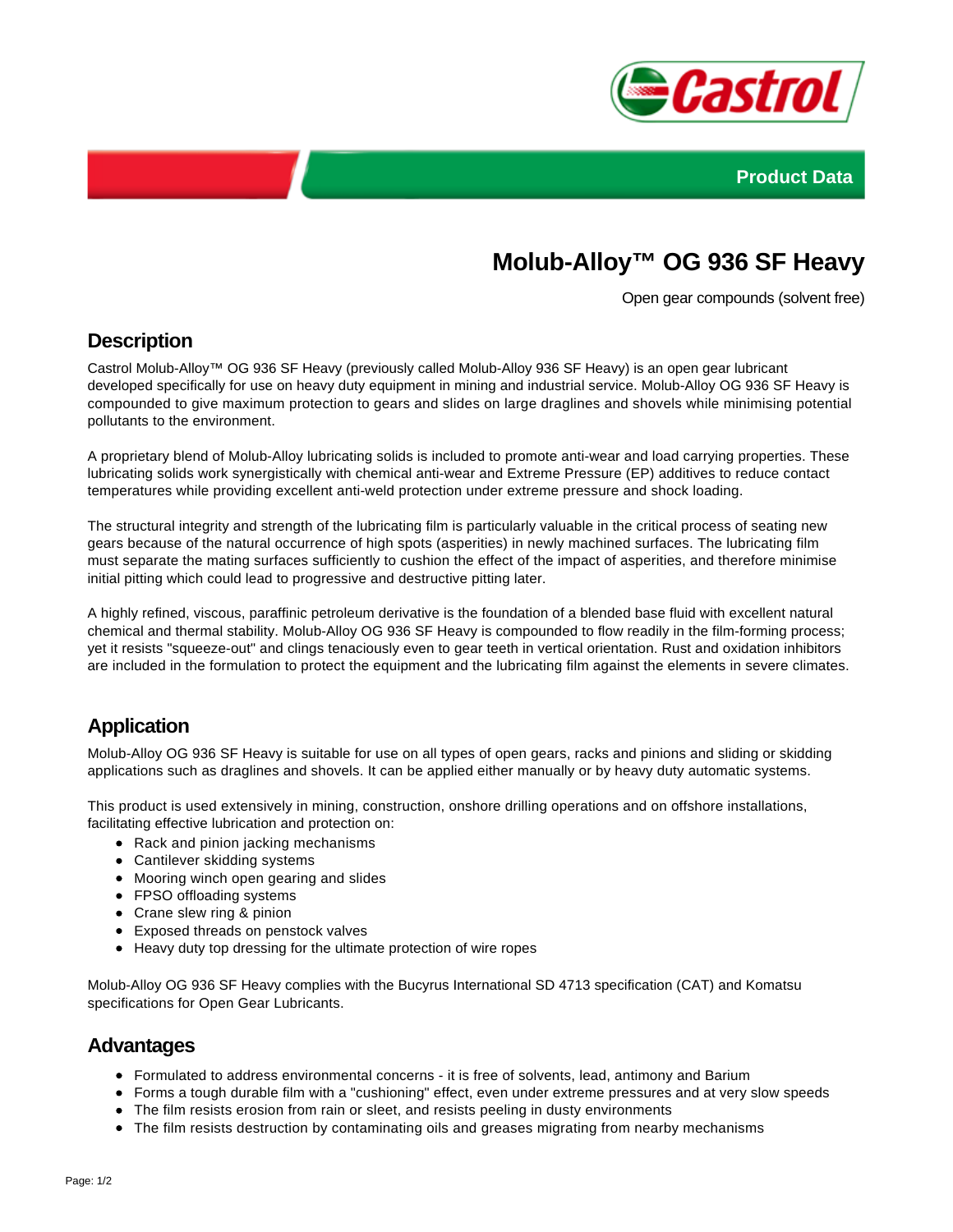



# **Molub-Alloy™ OG 936 SF Heavy**

Open gear compounds (solvent free)

### **Description**

Castrol Molub-Alloy™ OG 936 SF Heavy (previously called Molub-Alloy 936 SF Heavy) is an open gear lubricant developed specifically for use on heavy duty equipment in mining and industrial service. Molub-Alloy OG 936 SF Heavy is compounded to give maximum protection to gears and slides on large draglines and shovels while minimising potential pollutants to the environment.

A proprietary blend of Molub-Alloy lubricating solids is included to promote anti-wear and load carrying properties. These lubricating solids work synergistically with chemical anti-wear and Extreme Pressure (EP) additives to reduce contact temperatures while providing excellent anti-weld protection under extreme pressure and shock loading.

The structural integrity and strength of the lubricating film is particularly valuable in the critical process of seating new gears because of the natural occurrence of high spots (asperities) in newly machined surfaces. The lubricating film must separate the mating surfaces sufficiently to cushion the effect of the impact of asperities, and therefore minimise initial pitting which could lead to progressive and destructive pitting later.

A highly refined, viscous, paraffinic petroleum derivative is the foundation of a blended base fluid with excellent natural chemical and thermal stability. Molub-Alloy OG 936 SF Heavy is compounded to flow readily in the film-forming process; yet it resists "squeeze-out" and clings tenaciously even to gear teeth in vertical orientation. Rust and oxidation inhibitors are included in the formulation to protect the equipment and the lubricating film against the elements in severe climates.

# **Application**

Molub-Alloy OG 936 SF Heavy is suitable for use on all types of open gears, racks and pinions and sliding or skidding applications such as draglines and shovels. It can be applied either manually or by heavy duty automatic systems.

This product is used extensively in mining, construction, onshore drilling operations and on offshore installations, facilitating effective lubrication and protection on:

- Rack and pinion jacking mechanisms
- Cantilever skidding systems
- Mooring winch open gearing and slides
- FPSO offloading systems
- Crane slew ring & pinion
- Exposed threads on penstock valves
- Heavy duty top dressing for the ultimate protection of wire ropes

Molub-Alloy OG 936 SF Heavy complies with the Bucyrus International SD 4713 specification (CAT) and Komatsu specifications for Open Gear Lubricants.

#### **Advantages**

- Formulated to address environmental concerns it is free of solvents, lead, antimony and Barium
- Forms a tough durable film with a "cushioning" effect, even under extreme pressures and at very slow speeds
- The film resists erosion from rain or sleet, and resists peeling in dusty environments
- The film resists destruction by contaminating oils and greases migrating from nearby mechanisms